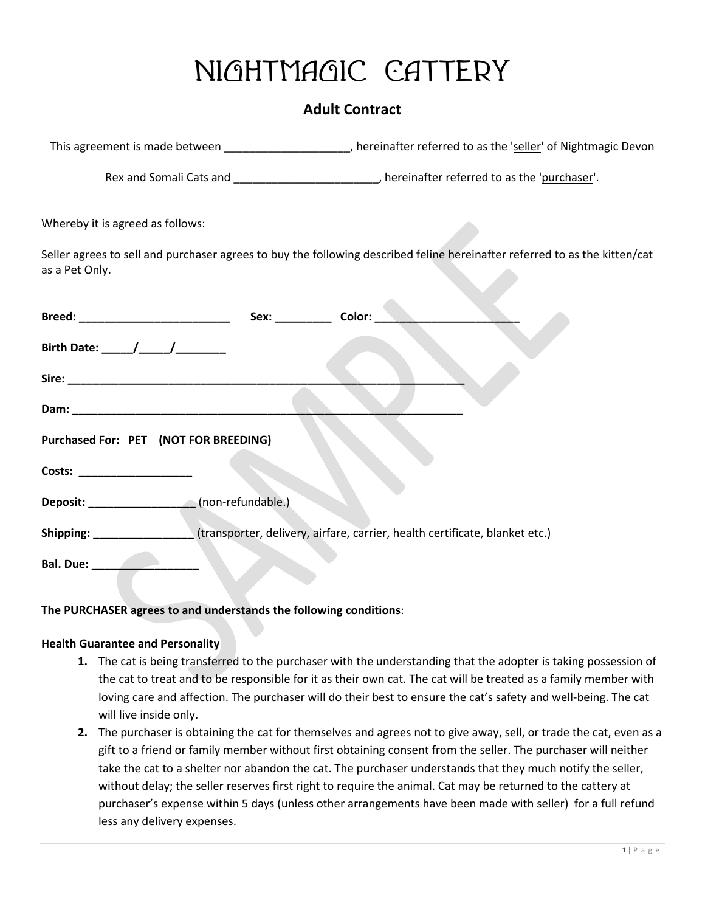## **Nightmagic Cattery**

## **Adult Contract**

|                                                                                                        | This agreement is made between _____________________, hereinafter referred to as the 'seller' of Nightmagic Devon          |
|--------------------------------------------------------------------------------------------------------|----------------------------------------------------------------------------------------------------------------------------|
|                                                                                                        | Rex and Somali Cats and ____________________________, hereinafter referred to as the 'purchaser'.                          |
| Whereby it is agreed as follows:                                                                       |                                                                                                                            |
| as a Pet Only.                                                                                         | Seller agrees to sell and purchaser agrees to buy the following described feline hereinafter referred to as the kitten/cat |
|                                                                                                        |                                                                                                                            |
| Birth Date: _____/_____/__________                                                                     |                                                                                                                            |
|                                                                                                        |                                                                                                                            |
|                                                                                                        |                                                                                                                            |
| Purchased For: PET (NOT FOR BREEDING)                                                                  |                                                                                                                            |
| Costs: __________________                                                                              |                                                                                                                            |
|                                                                                                        |                                                                                                                            |
| Shipping: _________________(transporter, delivery, airfare, carrier, health certificate, blanket etc.) |                                                                                                                            |
| Bal. Due: ___________________                                                                          |                                                                                                                            |

## **The PURCHASER agrees to and understands the following conditions**:

## **Health Guarantee and Personality**

- **1.** The cat is being transferred to the purchaser with the understanding that the adopter is taking possession of the cat to treat and to be responsible for it as their own cat. The cat will be treated as a family member with loving care and affection. The purchaser will do their best to ensure the cat's safety and well-being. The cat will live inside only.
- **2.** The purchaser is obtaining the cat for themselves and agrees not to give away, sell, or trade the cat, even as a gift to a friend or family member without first obtaining consent from the seller. The purchaser will neither take the cat to a shelter nor abandon the cat. The purchaser understands that they much notify the seller, without delay; the seller reserves first right to require the animal. Cat may be returned to the cattery at purchaser's expense within 5 days (unless other arrangements have been made with seller) for a full refund less any delivery expenses.